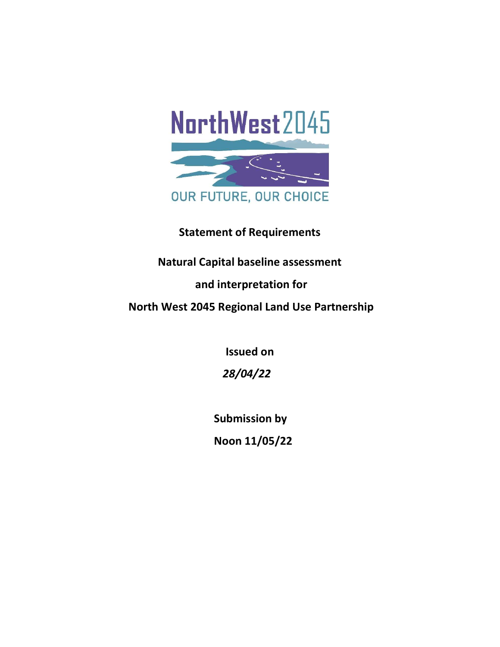

# Statement of Requirements

# Natural Capital baseline assessment

# and interpretation for

North West 2045 Regional Land Use Partnership

Issued on

28/04/22

Submission by

Noon 11/05/22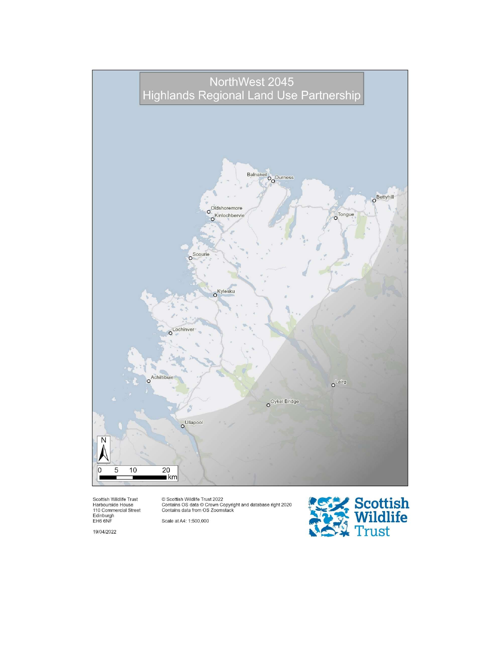

Scottish Wildlife Trust<br>Harbourside House<br>110 Commercial Street<br>Edinburgh<br>EH6 6NF

© Scottish Wildlife Trust 2022<br>Contains OS data © Crown Copyright and database right 2020<br>Contains data from OS Zoomstack

Scale at A4: 1:500,000

19/04/2022

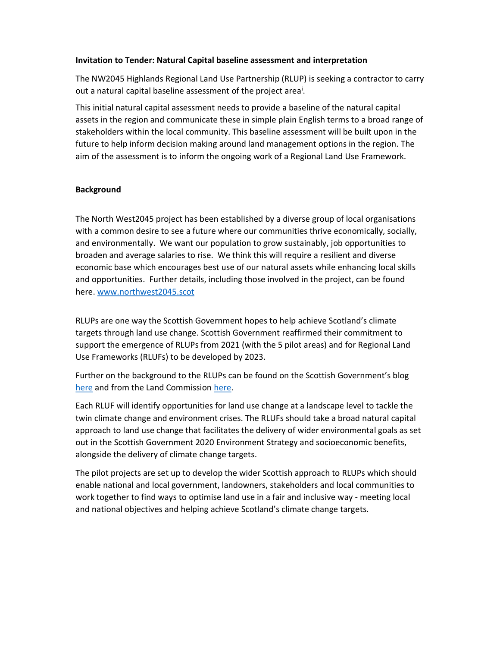#### Invitation to Tender: Natural Capital baseline assessment and interpretation

The NW2045 Highlands Regional Land Use Partnership (RLUP) is seeking a contractor to carry out a natural capital baseline assessment of the project area<sup>i</sup>.

This initial natural capital assessment needs to provide a baseline of the natural capital assets in the region and communicate these in simple plain English terms to a broad range of stakeholders within the local community. This baseline assessment will be built upon in the future to help inform decision making around land management options in the region. The aim of the assessment is to inform the ongoing work of a Regional Land Use Framework.

#### Background

The North West2045 project has been established by a diverse group of local organisations with a common desire to see a future where our communities thrive economically, socially, and environmentally. We want our population to grow sustainably, job opportunities to broaden and average salaries to rise. We think this will require a resilient and diverse economic base which encourages best use of our natural assets while enhancing local skills and opportunities. Further details, including those involved in the project, can be found here. www.northwest2045.scot

RLUPs are one way the Scottish Government hopes to help achieve Scotland's climate targets through land use change. Scottish Government reaffirmed their commitment to support the emergence of RLUPs from 2021 (with the 5 pilot areas) and for Regional Land Use Frameworks (RLUFs) to be developed by 2023.

Further on the background to the RLUPs can be found on the Scottish Government's blog here and from the Land Commission here.

Each RLUF will identify opportunities for land use change at a landscape level to tackle the twin climate change and environment crises. The RLUFs should take a broad natural capital approach to land use change that facilitates the delivery of wider environmental goals as set out in the Scottish Government 2020 Environment Strategy and socioeconomic benefits, alongside the delivery of climate change targets.

The pilot projects are set up to develop the wider Scottish approach to RLUPs which should enable national and local government, landowners, stakeholders and local communities to work together to find ways to optimise land use in a fair and inclusive way - meeting local and national objectives and helping achieve Scotland's climate change targets.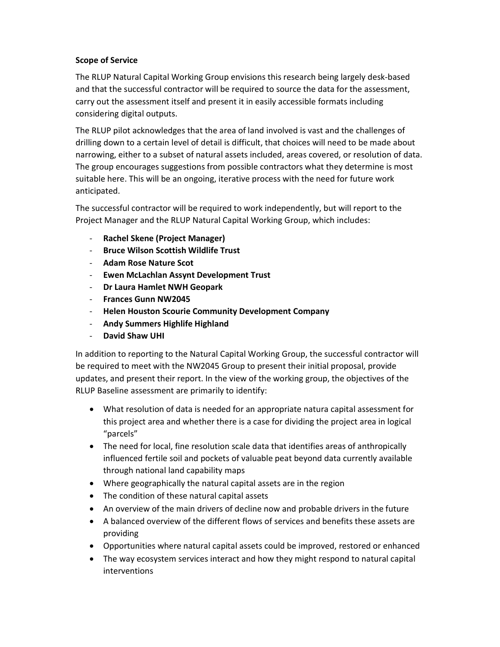### Scope of Service

The RLUP Natural Capital Working Group envisions this research being largely desk-based and that the successful contractor will be required to source the data for the assessment, carry out the assessment itself and present it in easily accessible formats including considering digital outputs.

The RLUP pilot acknowledges that the area of land involved is vast and the challenges of drilling down to a certain level of detail is difficult, that choices will need to be made about narrowing, either to a subset of natural assets included, areas covered, or resolution of data. The group encourages suggestions from possible contractors what they determine is most suitable here. This will be an ongoing, iterative process with the need for future work anticipated.

The successful contractor will be required to work independently, but will report to the Project Manager and the RLUP Natural Capital Working Group, which includes:

- Rachel Skene (Project Manager)
- Bruce Wilson Scottish Wildlife Trust
- Adam Rose Nature Scot
- Ewen McLachlan Assynt Development Trust
- Dr Laura Hamlet NWH Geopark
- Frances Gunn NW2045
- Helen Houston Scourie Community Development Company
- Andy Summers Highlife Highland
- David Shaw UHI

In addition to reporting to the Natural Capital Working Group, the successful contractor will be required to meet with the NW2045 Group to present their initial proposal, provide updates, and present their report. In the view of the working group, the objectives of the RLUP Baseline assessment are primarily to identify:

- What resolution of data is needed for an appropriate natura capital assessment for this project area and whether there is a case for dividing the project area in logical "parcels"
- The need for local, fine resolution scale data that identifies areas of anthropically influenced fertile soil and pockets of valuable peat beyond data currently available through national land capability maps
- Where geographically the natural capital assets are in the region
- The condition of these natural capital assets
- An overview of the main drivers of decline now and probable drivers in the future
- A balanced overview of the different flows of services and benefits these assets are providing
- Opportunities where natural capital assets could be improved, restored or enhanced
- The way ecosystem services interact and how they might respond to natural capital interventions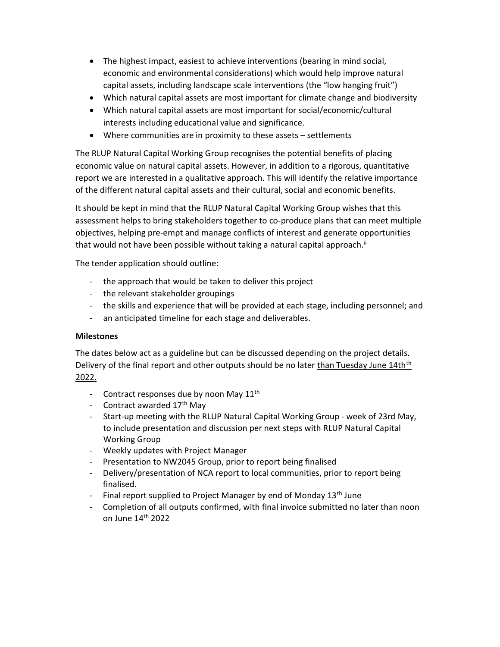- The highest impact, easiest to achieve interventions (bearing in mind social, economic and environmental considerations) which would help improve natural capital assets, including landscape scale interventions (the "low hanging fruit")
- Which natural capital assets are most important for climate change and biodiversity
- Which natural capital assets are most important for social/economic/cultural interests including educational value and significance.
- Where communities are in proximity to these assets settlements

The RLUP Natural Capital Working Group recognises the potential benefits of placing economic value on natural capital assets. However, in addition to a rigorous, quantitative report we are interested in a qualitative approach. This will identify the relative importance of the different natural capital assets and their cultural, social and economic benefits.

It should be kept in mind that the RLUP Natural Capital Working Group wishes that this assessment helps to bring stakeholders together to co-produce plans that can meet multiple objectives, helping pre-empt and manage conflicts of interest and generate opportunities that would not have been possible without taking a natural capital approach.<sup>ii</sup>

The tender application should outline:

- the approach that would be taken to deliver this project
- the relevant stakeholder groupings
- the skills and experience that will be provided at each stage, including personnel; and
- an anticipated timeline for each stage and deliverables.

#### **Milestones**

The dates below act as a guideline but can be discussed depending on the project details. Delivery of the final report and other outputs should be no later than Tuesday June 14th<sup>th</sup> 2022.

- Contract responses due by noon May  $11<sup>th</sup>$
- Contract awarded 17<sup>th</sup> May
- Start-up meeting with the RLUP Natural Capital Working Group week of 23rd May, to include presentation and discussion per next steps with RLUP Natural Capital Working Group
- Weekly updates with Project Manager
- Presentation to NW2045 Group, prior to report being finalised
- Delivery/presentation of NCA report to local communities, prior to report being finalised.
- Final report supplied to Project Manager by end of Monday 13<sup>th</sup> June
- Completion of all outputs confirmed, with final invoice submitted no later than noon on June 14th 2022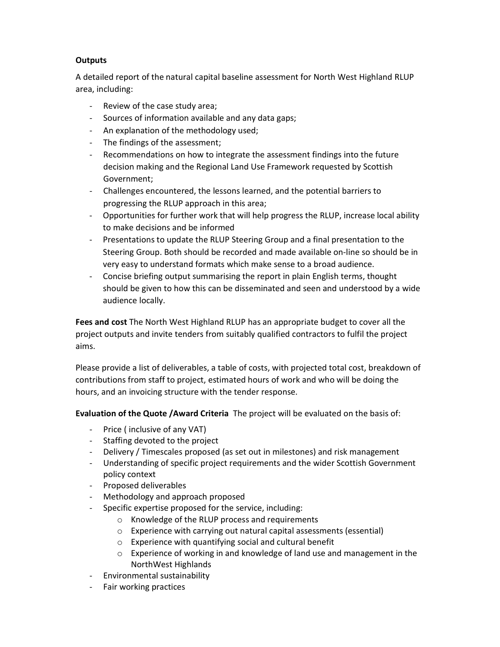### **Outputs**

A detailed report of the natural capital baseline assessment for North West Highland RLUP area, including:

- Review of the case study area;
- Sources of information available and any data gaps;
- An explanation of the methodology used;
- The findings of the assessment;
- Recommendations on how to integrate the assessment findings into the future decision making and the Regional Land Use Framework requested by Scottish Government;
- Challenges encountered, the lessons learned, and the potential barriers to progressing the RLUP approach in this area;
- Opportunities for further work that will help progress the RLUP, increase local ability to make decisions and be informed
- Presentations to update the RLUP Steering Group and a final presentation to the Steering Group. Both should be recorded and made available on-line so should be in very easy to understand formats which make sense to a broad audience.
- Concise briefing output summarising the report in plain English terms, thought should be given to how this can be disseminated and seen and understood by a wide audience locally.

Fees and cost The North West Highland RLUP has an appropriate budget to cover all the project outputs and invite tenders from suitably qualified contractors to fulfil the project aims.

Please provide a list of deliverables, a table of costs, with projected total cost, breakdown of contributions from staff to project, estimated hours of work and who will be doing the hours, and an invoicing structure with the tender response.

Evaluation of the Quote /Award Criteria The project will be evaluated on the basis of:

- Price ( inclusive of any VAT)
- Staffing devoted to the project
- Delivery / Timescales proposed (as set out in milestones) and risk management
- Understanding of specific project requirements and the wider Scottish Government policy context
- Proposed deliverables
- Methodology and approach proposed
- Specific expertise proposed for the service, including:
	- o Knowledge of the RLUP process and requirements
	- o Experience with carrying out natural capital assessments (essential)
	- o Experience with quantifying social and cultural benefit
	- $\circ$  Experience of working in and knowledge of land use and management in the NorthWest Highlands
- Environmental sustainability
- Fair working practices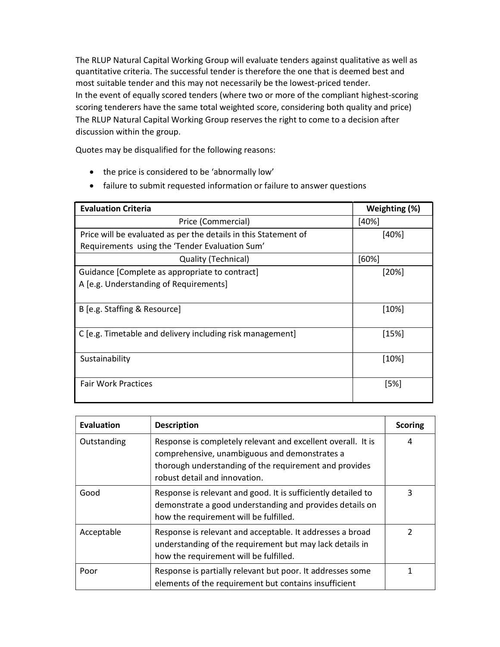The RLUP Natural Capital Working Group will evaluate tenders against qualitative as well as quantitative criteria. The successful tender is therefore the one that is deemed best and most suitable tender and this may not necessarily be the lowest-priced tender. In the event of equally scored tenders (where two or more of the compliant highest-scoring scoring tenderers have the same total weighted score, considering both quality and price) The RLUP Natural Capital Working Group reserves the right to come to a decision after discussion within the group.

Quotes may be disqualified for the following reasons:

- the price is considered to be 'abnormally low'
- failure to submit requested information or failure to answer questions

| <b>Evaluation Criteria</b>                                      | Weighting (%) |
|-----------------------------------------------------------------|---------------|
| Price (Commercial)                                              | $[40\%]$      |
| Price will be evaluated as per the details in this Statement of | $[40\%]$      |
| Requirements using the 'Tender Evaluation Sum'                  |               |
| Quality (Technical)                                             | $[60\%]$      |
| Guidance [Complete as appropriate to contract]                  | [20%]         |
| A [e.g. Understanding of Requirements]                          |               |
|                                                                 |               |
| B [e.g. Staffing & Resource]                                    | $[10\%]$      |
|                                                                 |               |
| C [e.g. Timetable and delivery including risk management]       | [15%]         |
|                                                                 |               |
| Sustainability                                                  | $[10\%]$      |
|                                                                 |               |
| <b>Fair Work Practices</b>                                      | [5%]          |
|                                                                 |               |

| <b>Evaluation</b> | <b>Description</b>                                                                                                                                                                                       | <b>Scoring</b> |
|-------------------|----------------------------------------------------------------------------------------------------------------------------------------------------------------------------------------------------------|----------------|
| Outstanding       | Response is completely relevant and excellent overall. It is<br>comprehensive, unambiguous and demonstrates a<br>thorough understanding of the requirement and provides<br>robust detail and innovation. | 4              |
| Good              | Response is relevant and good. It is sufficiently detailed to<br>demonstrate a good understanding and provides details on<br>how the requirement will be fulfilled.                                      | 3              |
| Acceptable        | Response is relevant and acceptable. It addresses a broad<br>understanding of the requirement but may lack details in<br>how the requirement will be fulfilled.                                          | $\mathcal{P}$  |
| Poor              | Response is partially relevant but poor. It addresses some<br>elements of the requirement but contains insufficient                                                                                      |                |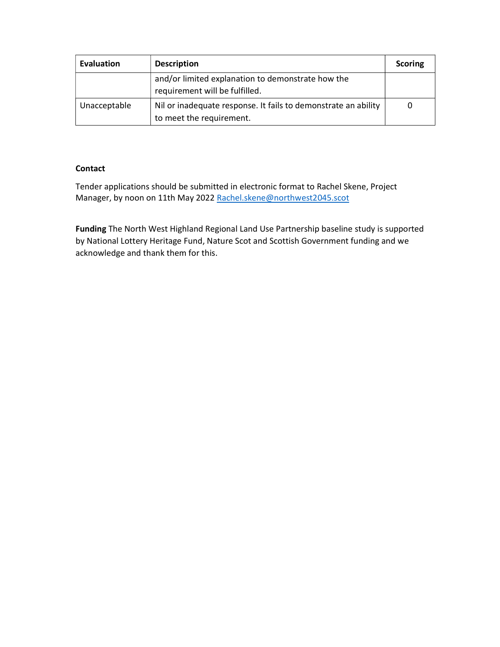| Evaluation   | <b>Description</b>                                                                         | <b>Scoring</b> |
|--------------|--------------------------------------------------------------------------------------------|----------------|
|              | and/or limited explanation to demonstrate how the<br>requirement will be fulfilled.        |                |
| Unacceptable | Nil or inadequate response. It fails to demonstrate an ability<br>to meet the requirement. | 0              |

### **Contact**

Tender applications should be submitted in electronic format to Rachel Skene, Project Manager, by noon on 11th May 2022 Rachel.skene@northwest2045.scot

Funding The North West Highland Regional Land Use Partnership baseline study is supported by National Lottery Heritage Fund, Nature Scot and Scottish Government funding and we acknowledge and thank them for this.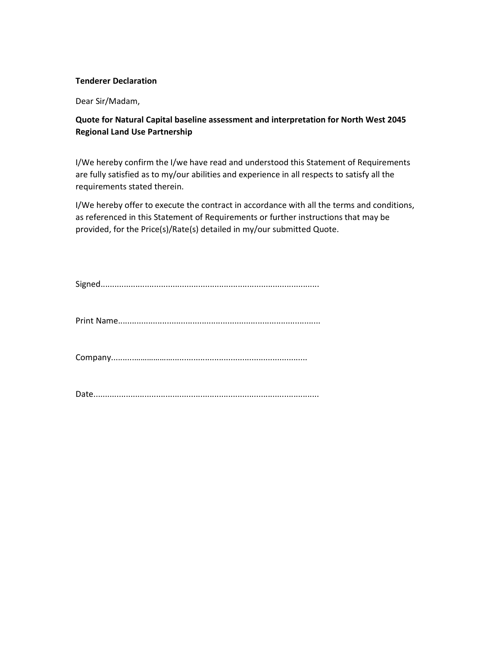#### Tenderer Declaration

Dear Sir/Madam,

## Quote for Natural Capital baseline assessment and interpretation for North West 2045 Regional Land Use Partnership

I/We hereby confirm the I/we have read and understood this Statement of Requirements are fully satisfied as to my/our abilities and experience in all respects to satisfy all the requirements stated therein.

I/We hereby offer to execute the contract in accordance with all the terms and conditions, as referenced in this Statement of Requirements or further instructions that may be provided, for the Price(s)/Rate(s) detailed in my/our submitted Quote.

Print Name.......................................................................................

Company..........………………..........................................................

Date.................................................................................................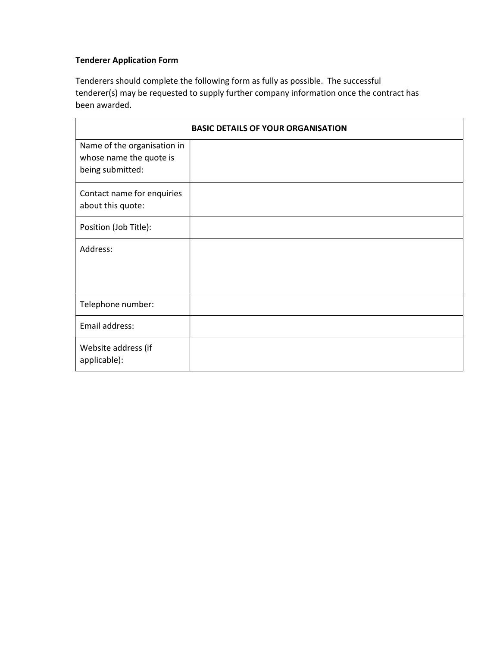## Tenderer Application Form

Tenderers should complete the following form as fully as possible. The successful tenderer(s) may be requested to supply further company information once the contract has been awarded.

| <b>BASIC DETAILS OF YOUR ORGANISATION</b>                                  |  |  |
|----------------------------------------------------------------------------|--|--|
| Name of the organisation in<br>whose name the quote is<br>being submitted: |  |  |
| Contact name for enquiries<br>about this quote:                            |  |  |
| Position (Job Title):                                                      |  |  |
| Address:                                                                   |  |  |
| Telephone number:                                                          |  |  |
| Email address:                                                             |  |  |
| Website address (if<br>applicable):                                        |  |  |